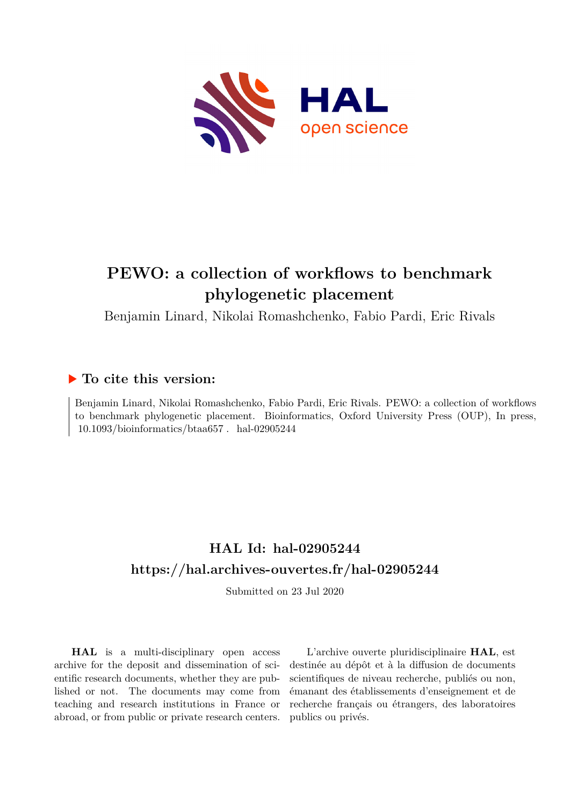

# **PEWO: a collection of workflows to benchmark phylogenetic placement**

Benjamin Linard, Nikolai Romashchenko, Fabio Pardi, Eric Rivals

### **To cite this version:**

Benjamin Linard, Nikolai Romashchenko, Fabio Pardi, Eric Rivals. PEWO: a collection of workflows to benchmark phylogenetic placement. Bioinformatics, Oxford University Press (OUP), In press,  $10.1093/bioinformatics/btaa657$ . hal-02905244

### **HAL Id: hal-02905244 <https://hal.archives-ouvertes.fr/hal-02905244>**

Submitted on 23 Jul 2020

**HAL** is a multi-disciplinary open access archive for the deposit and dissemination of scientific research documents, whether they are published or not. The documents may come from teaching and research institutions in France or abroad, or from public or private research centers.

L'archive ouverte pluridisciplinaire **HAL**, est destinée au dépôt et à la diffusion de documents scientifiques de niveau recherche, publiés ou non, émanant des établissements d'enseignement et de recherche français ou étrangers, des laboratoires publics ou privés.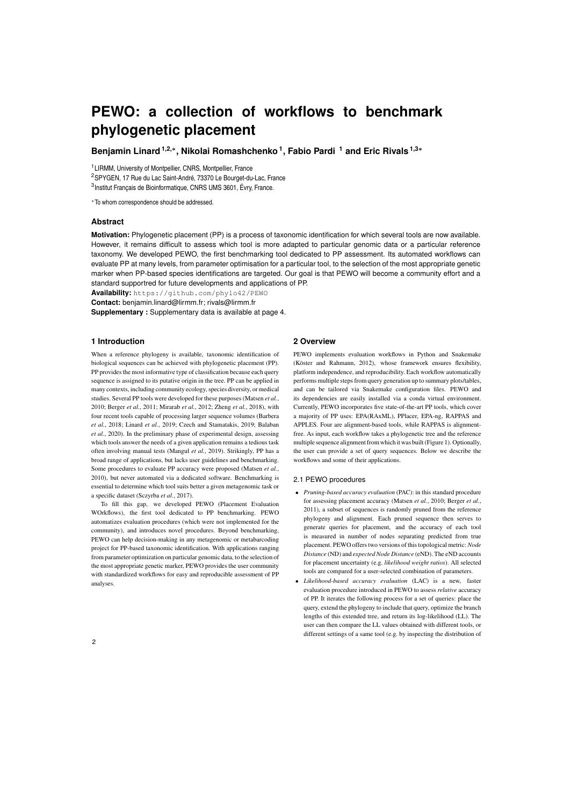## **PEWO: a collection of workflows to benchmark phylogenetic placement**

**Benjamin Linard**<sup>1,2,∗</sup>, Nikolai Romashchenko<sup>1</sup>, Fabio Pardi<sup>1</sup> and Eric Rivals<sup>1,3∗</sup>

<sup>1</sup> LIRMM, University of Montpellier, CNRS, Montpellier, France <sup>2</sup>SPYGEN, 17 Rue du Lac Saint-André, 73370 Le Bourget-du-Lac, France <sup>3</sup>Institut Français de Bioinformatique, CNRS UMS 3601, Évry, France.

<sup>∗</sup>To whom correspondence should be addressed.

#### **Abstract**

**Motivation:** Phylogenetic placement (PP) is a process of taxonomic identification for which several tools are now available. However, it remains difficult to assess which tool is more adapted to particular genomic data or a particular reference taxonomy. We developed PEWO, the first benchmarking tool dedicated to PP assessment. Its automated workflows can evaluate PP at many levels, from parameter optimisation for a particular tool, to the selection of the most appropriate genetic marker when PP-based species identifications are targeted. Our goal is that PEWO will become a community effort and a standard supportred for future developments and applications of PP.

**Availability:** https://github.com/phylo42/PEWO

**Contact:** benjamin.linard@lirmm.fr; rivals@lirmm.fr

**Supplementary :** Supplementary data is available at page 4.

#### **1 Introduction**

When a reference phylogeny is available, taxonomic identification of biological sequences can be achieved with phylogenetic placement (PP). PP provides the most informative type of classification because each query sequence is assigned to its putative origin in the tree. PP can be applied in many contexts, including community ecology, species diversity, or medical studies. Several PP tools were developed for these purposes (Matsen *et al.*, 2010; Berger *et al.*, 2011; Mirarab *et al.*, 2012; Zheng *et al.*, 2018), with four recent tools capable of processing larger sequence volumes (Barbera *et al.*, 2018; Linard *et al.*, 2019; Czech and Stamatakis, 2019; Balaban *et al.*, 2020). In the preliminary phase of experimental design, assessing which tools answer the needs of a given application remains a tedious task often involving manual tests (Mangul *et al.*, 2019). Strikingly, PP has a broad range of applications, but lacks user guidelines and benchmarking. Some procedures to evaluate PP accuracy were proposed (Matsen *et al.*, 2010), but never automated via a dedicated software. Benchmarking is essential to determine which tool suits better a given metagenomic task or a specific dataset (Sczyrba *et al.*, 2017).

To fill this gap, we developed PEWO (Placement Evaluation WOrkflows), the first tool dedicated to PP benchmarking. PEWO automatizes evaluation procedures (which were not implemented for the community), and introduces novel procedures. Beyond benchmarking, PEWO can help decision-making in any metagenomic or metabarcoding project for PP-based taxonomic identification. With applications ranging from parameter optimization on particular genomic data, to the selection of the most appropriate genetic marker, PEWO provides the user community with standardized workflows for easy and reproducible assessment of PP analyses.

#### **2 Overview**

PEWO implements evaluation workflows in Python and Snakemake (Köster and Rahmann, 2012), whose framework ensures flexibility, platform independence, and reproducibility. Each workflow automatically performs multiple steps from query generation up to summary plots/tables, and can be tailored via Snakemake configuration files. PEWO and its dependencies are easily installed via a conda virtual environment. Currently, PEWO incorporates five state-of-the-art PP tools, which cover a majority of PP uses: EPA(RAxML), PPlacer, EPA-ng, RAPPAS and APPLES. Four are alignment-based tools, while RAPPAS is alignmentfree. As input, each workflow takes a phylogenetic tree and the reference multiple sequence alignment from which it was built (Figure 1). Optionally, the user can provide a set of query sequences. Below we describe the workflows and some of their applications.

#### 2.1 PEWO procedures

- *Pruning-based accuracy evaluation* (PAC): in this standard procedure for assessing placement accuracy (Matsen *et al.*, 2010; Berger *et al.*, 2011), a subset of sequences is randomly pruned from the reference phylogeny and alignment. Each pruned sequence then serves to generate queries for placement, and the accuracy of each tool is measured in number of nodes separating predicted from true placement. PEWO offers two versions of this topological metric: *Node Distance* (ND) and *expected Node Distance* (eND). The eND accounts for placement uncertainty (e.g. *likelihood weight ratios*). All selected tools are compared for a user-selected combination of parameters.
- *Likelihood-based accuracy evaluation* (LAC) is a new, faster evaluation procedure introduced in PEWO to assess *relative* accuracy of PP. It iterates the following process for a set of queries: place the query, extend the phylogeny to include that query, optimize the branch lengths of this extended tree, and return its log-likelihood (LL). The user can then compare the LL values obtained with different tools, or different settings of a same tool (e.g. by inspecting the distribution of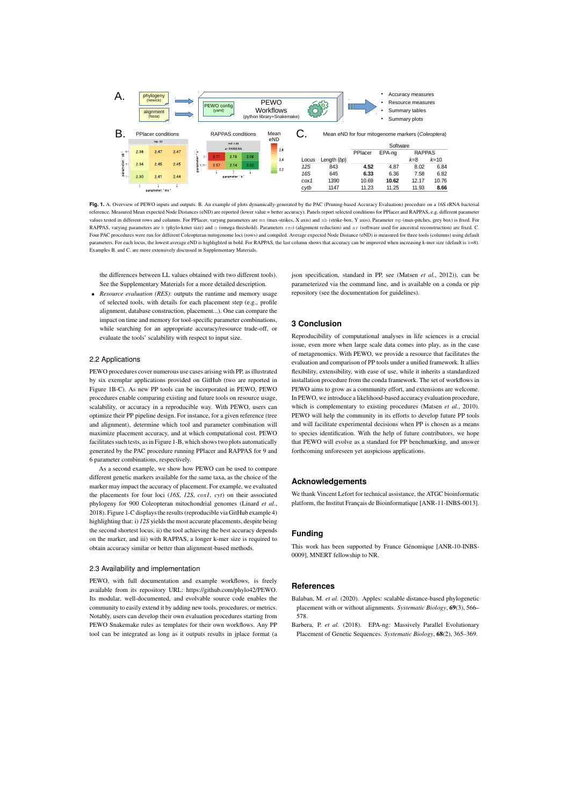

**Fig. 1.** A. Overview of PEWO inputs and outputs. B. An example of plots dynamically-generated by the PAC (Pruning-based Accuracy Evaluation) procedure on a 16S rRNA bacterial reference. Measured Mean expected Node Distances (eND) are reported (lower value = better accuracy). Panels report selected conditions for PPlacer and RAPPAS, e.g. different parameter values tested in different rows and columns. For PPlacer, varying parameters are ms (max-strikes, X axis) and sb (strike-box, Y axis). Parameter mp (max-pitches, grey box) is fixed. For RAPPAS, varying parameters are k (phylo-kmer size) and o (omega threshold). Parameters red (alignment reduction) and ar (software used for ancestral reconstruction) are fixed. C. Four PAC procedures were run for different Coleopteran mitogenome loci (rows) and compiled. Average expected Node Distance (eND) is measured for three tools (columns) using default parameters. For each locus, the lowest average eND is highlighted in bold. For RAPPAS, the last column shows that accuracy can be improved when increasing k-mer size (default is k=8). Examples B. and C. are more extensively discussed in Supplementary Materials.

the differences between LL values obtained with two different tools). See the Supplementary Materials for a more detailed description.

<span id="page-2-0"></span>• *Resource evaluation (RES)*: outputs the runtime and memory usage of selected tools, with details for each placement step (e.g., profile alignment, database construction, placement...). One can compare the impact on time and memory for tool-specific parameter combinations, while searching for an appropriate accuracy/resource trade-off, or evaluate the tools' scalability with respect to input size.

#### 2.2 Applications

PEWO procedures cover numerous use cases arising with PP, as illustrated by six exemplar applications provided on GitHub (two are reported in Figure 1B-C). As new PP tools can be incorporated in PEWO, PEWO procedures enable comparing existing and future tools on resource usage, scalability, or accuracy in a reproducible way. With PEWO, users can optimize their PP pipeline design. For instance, for a given reference (tree and alignment), determine which tool and parameter combination will maximize placement accuracy, and at which computational cost. PEWO facilitates such tests, as in Figure 1-B, which shows two plots automatically generated by the PAC procedure running PPlacer and RAPPAS for 9 and 6 parameter combinations, respectively.

As a second example, we show how PEWO can be used to compare different genetic markers available for the same taxa, as the choice of the marker may impact the accuracy of placement. For example, we evaluated the placements for four loci (*16S*, *12S*, *cox1*, *cyt*) on their associated phylogeny for 900 Coleopteran mitochondrial genomes (Linard *et al.*, 2018). Figure 1-C displays the results (reproducible via GitHub example 4) highlighting that: i) *12S* yields the most accurate placements, despite being the second shortest locus, ii) the tool achieving the best accuracy depends on the marker, and iii) with RAPPAS, a longer k-mer size is required to obtain accuracy similar or better than alignment-based methods.

#### 2.3 Availability and implementation

PEWO, with full documentation and example workflows, is freely available from its repository URL: https://github.com/phylo42/PEWO. Its modular, well-documented, and evolvable source code enables the community to easily extend it by adding new tools, procedures, or metrics. Notably, users can develop their own evaluation procedures starting from PEWO Snakemake rules as templates for their own workflows. Any PP tool can be integrated as long as it outputs results in jplace format (a

json specification, standard in PP, see (Matsen *et al.*, 2012)), can be parameterized via the command line, and is available on a conda or pip repository (see the documentation for guidelines).

#### **3 Conclusion**

Reproducibility of computational analyses in life sciences is a crucial issue, even more when large scale data comes into play, as in the case of metagenomics. With PEWO, we provide a resource that facilitates the evaluation and comparison of PP tools under a unified framework. It allies flexibility, extensibility, with ease of use, while it inherits a standardized installation procedure from the conda framework. The set of workflows in PEWO aims to grow as a community effort, and extensions are welcome. In PEWO, we introduce a likelihood-based accuracy evaluation procedure, which is complementary to existing procedures (Matsen *et al.*, 2010). PEWO will help the community in its efforts to develop future PP tools and will facilitate experimental decisions when PP is chosen as a means to species identification. With the help of future contributors, we hope that PEWO will evolve as a standard for PP benchmarking, and answer forthcoming unforeseen yet auspicious applications.

#### **Acknowledgements**

We thank Vincent Lefort for technical assistance, the ATGC bioinformatic platform, the Institut Français de Bioinformatique [ANR-11-INBS-0013].

#### **Funding**

This work has been supported by France Génomique [ANR-10-INBS-0009], MNERT fellowship to NR.

#### **References**

- Balaban, M. *et al.* (2020). Apples: scalable distance-based phylogenetic placement with or without alignments. *Systematic Biology*, 69(3), 566– 578.
- Barbera, P. *et al.* (2018). EPA-ng: Massively Parallel Evolutionary Placement of Genetic Sequences. *Systematic Biology*, 68(2), 365–369.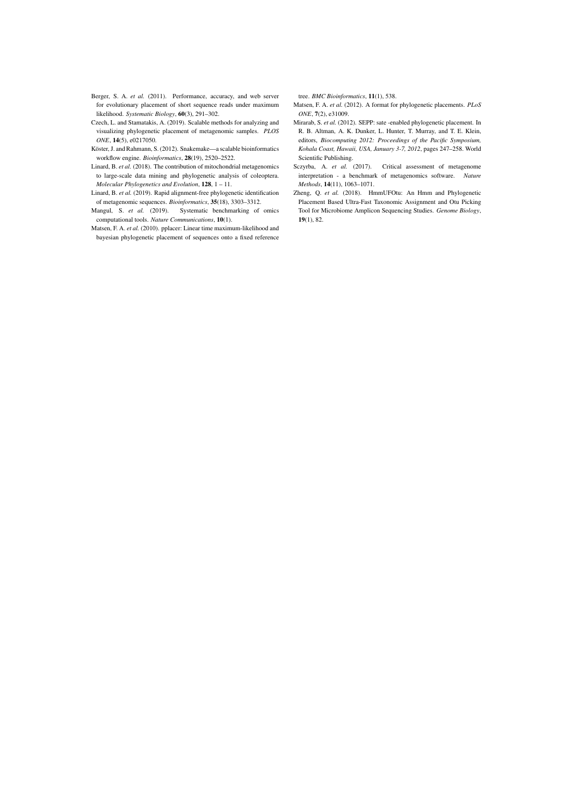- <span id="page-3-0"></span>Berger, S. A. *et al.* (2011). Performance, accuracy, and web server for evolutionary placement of short sequence reads under maximum likelihood. *Systematic Biology*, 60(3), 291–302.
- Czech, L. and Stamatakis, A. (2019). Scalable methods for analyzing and visualizing phylogenetic placement of metagenomic samples. *PLOS ONE*, 14(5), e0217050.
- Köster, J. and Rahmann, S. (2012). Snakemake—a scalable bioinformatics workflow engine. *Bioinformatics*, 28(19), 2520–2522.
- Linard, B. *et al.* (2018). The contribution of mitochondrial metagenomics to large-scale data mining and phylogenetic analysis of coleoptera. *Molecular Phylogenetics and Evolution*, 128, 1 – 11.
- Linard, B. *et al.* (2019). Rapid alignment-free phylogenetic identification of metagenomic sequences. *Bioinformatics*, 35(18), 3303–3312.
- Mangul, S. *et al.* (2019). Systematic benchmarking of omics computational tools. *Nature Communications*, 10(1).
- Matsen, F. A. *et al.* (2010). pplacer: Linear time maximum-likelihood and bayesian phylogenetic placement of sequences onto a fixed reference

tree. *BMC Bioinformatics*, 11(1), 538.

- Matsen, F. A. *et al.* (2012). A format for phylogenetic placements. *PLoS ONE*, 7(2), e31009.
- Mirarab, S. *et al.* (2012). SEPP: sate -enabled phylogenetic placement. In R. B. Altman, A. K. Dunker, L. Hunter, T. Murray, and T. E. Klein, editors, *Biocomputing 2012: Proceedings of the Pacific Symposium, Kohala Coast, Hawaii, USA, January 3-7, 2012*, pages 247–258. World Scientific Publishing.
- Sczyrba, A. *et al.* (2017). Critical assessment of metagenome interpretation - a benchmark of metagenomics software. *Nature Methods*, 14(11), 1063–1071.
- Zheng, Q. *et al.* (2018). HmmUFOtu: An Hmm and Phylogenetic Placement Based Ultra-Fast Taxonomic Assignment and Otu Picking Tool for Microbiome Amplicon Sequencing Studies. *Genome Biology*, 19(1), 82.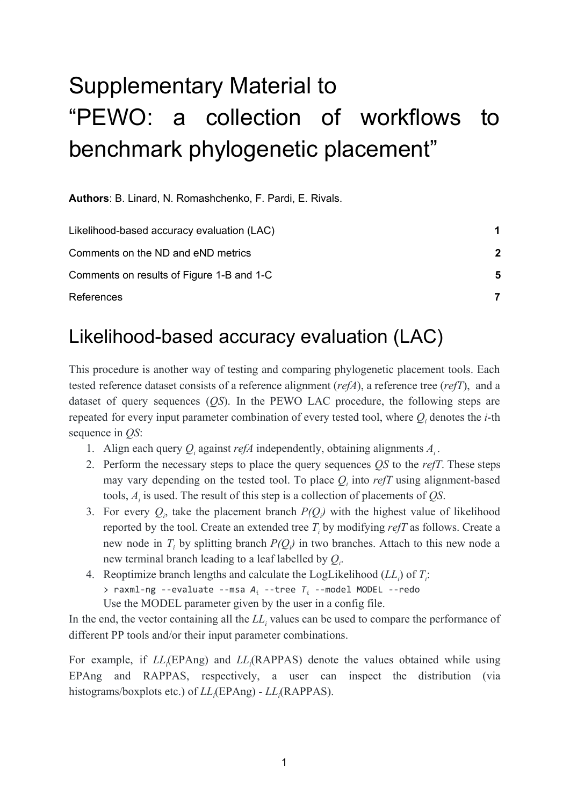# Supplementary Material to "PEWO: a collection of workflows to benchmark phylogenetic placement"

**Authors**: B. Linard, N. Romashchenko, F. Pardi, E. Rivals.

| Likelihood-based accuracy evaluation (LAC) |             |
|--------------------------------------------|-------------|
| Comments on the ND and eND metrics         | $\mathbf 2$ |
| Comments on results of Figure 1-B and 1-C  | 5           |
| References                                 |             |

# Likelihood-based accuracy evaluation (LAC)

This procedure is another way of testing and comparing phylogenetic placement tools. Each tested reference dataset consists of a reference alignment (*refA*), a reference tree (*refT*), and a dataset of query sequences (*QS*). In the PEWO LAC procedure, the following steps are repeated for every input parameter combination of every tested tool, where *Q<sup>i</sup>* denotes the *i*-th sequence in *QS*:

- 1. Align each query  $Q_i$  against *refA* independently, obtaining alignments  $A_i$ .
- 2. Perform the necessary steps to place the query sequences *QS* to the *refT*. These steps may vary depending on the tested tool. To place  $Q_i$  into  $refT$  using alignment-based tools, *A<sup>i</sup>* is used. The result of this step is a collection of placements of *QS*.
- 3. For every  $Q_i$ , take the placement branch  $P(Q_i)$  with the highest value of likelihood reported by the tool. Create an extended tree *T<sup>i</sup>* by modifying *refT* as follows. Create a new node in  $T_i$  by splitting branch  $P(Q_i)$  in two branches. Attach to this new node a new terminal branch leading to a leaf labelled by *Q<sup>i</sup>* .
- 4. Reoptimize branch lengths and calculate the LogLikelihood  $(LL_i)$  of  $T_i$ : > raxml-ng --evaluate --msa *A<sup>i</sup>* --tree *T<sup>i</sup>* --model MODEL --redo Use the MODEL parameter given by the user in a config file.

In the end, the vector containing all the *LL<sup>i</sup>* values can be used to compare the performance of different PP tools and/or their input parameter combinations.

For example, if *LL<sup>i</sup>* (EPAng) and *LL<sup>i</sup>* (RAPPAS) denote the values obtained while using EPAng and RAPPAS, respectively, a user can inspect the distribution (via histograms/boxplots etc.) of *LL<sup>i</sup>* (EPAng) - *LL<sup>i</sup>* (RAPPAS).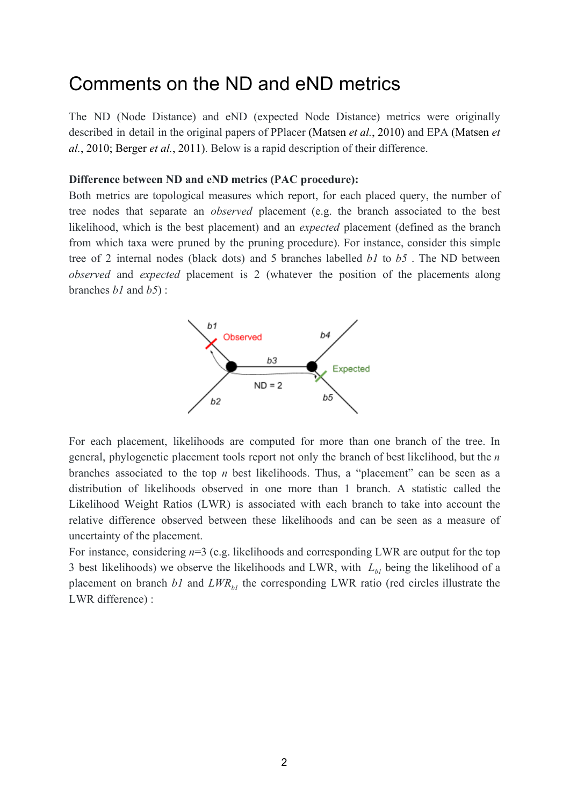## Comments on the ND and eND metrics

The ND (Node Distance) and eND (expected Node Distance) metrics were originally described in detail in the original papers of PPlacer [\(Matsen](https://paperpile.com/c/G6pr4Z/Omww) *et [al.](https://paperpile.com/c/G6pr4Z/Omww)*, [2010\)](https://paperpile.com/c/G6pr4Z/Omww) and EPA [\(Matsen](https://paperpile.com/c/G6pr4Z/Omww+d43z) *[et](https://paperpile.com/c/G6pr4Z/Omww+d43z) [al.](https://paperpile.com/c/G6pr4Z/Omww+d43z)*[, 2010; Berger](https://paperpile.com/c/G6pr4Z/Omww+d43z) *[et al.](https://paperpile.com/c/G6pr4Z/Omww+d43z)*[, 2011\).](https://paperpile.com/c/G6pr4Z/Omww+d43z) Below is a rapid description of their difference.

### **Difference between ND and eND metrics (PAC procedure):**

Both metrics are topological measures which report, for each placed query, the number of tree nodes that separate an *observed* placement (e.g. the branch associated to the best likelihood, which is the best placement) and an *expected* placement (defined as the branch from which taxa were pruned by the pruning procedure). For instance, consider this simple tree of 2 internal nodes (black dots) and 5 branches labelled *b1* to *b5* . The ND between *observed* and *expected* placement is 2 (whatever the position of the placements along branches *b1* and *b5*) :



For each placement, likelihoods are computed for more than one branch of the tree. In general, phylogenetic placement tools report not only the branch of best likelihood, but the *n* branches associated to the top *n* best likelihoods. Thus, a "placement" can be seen as a distribution of likelihoods observed in one more than 1 branch. A statistic called the Likelihood Weight Ratios (LWR) is associated with each branch to take into account the relative difference observed between these likelihoods and can be seen as a measure of uncertainty of the placement.

For instance, considering *n*=3 (e.g. likelihoods and corresponding LWR are output for the top 3 best likelihoods) we observe the likelihoods and LWR, with *Lb1* being the likelihood of a placement on branch *b1* and  $LWR_{b1}$  the corresponding LWR ratio (red circles illustrate the LWR difference) :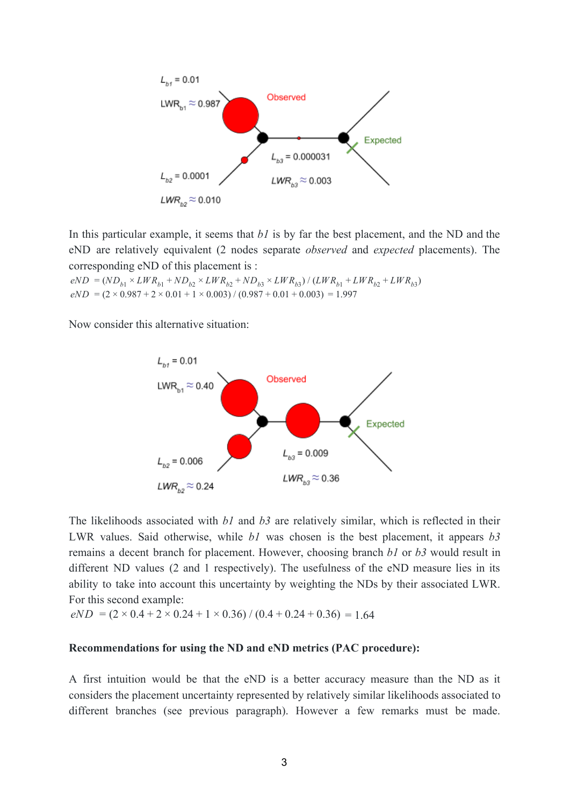<span id="page-6-0"></span>

In this particular example, it seems that *b1* is by far the best placement, and the ND and the eND are relatively equivalent (2 nodes separate *observed* and *expected* placements). The corresponding eND of this placement is :

 $eND = (ND_{b1} \times LWR_{b1} + ND_{b2} \times LWR_{b2} + ND_{b3} \times LWR_{b3}) / (LWR_{b1} + LWR_{b2} + LWR_{b3})$  $eND = (2 \times 0.987 + 2 \times 0.01 + 1 \times 0.003) / (0.987 + 0.01 + 0.003) = 1.997$ 

Now consider this alternative situation:



The likelihoods associated with *b1* and *b3* are relatively similar, which is reflected in their LWR values. Said otherwise, while *b1* was chosen is the best placement, it appears *b3* remains a decent branch for placement. However, choosing branch *b1* or *b3* would result in different ND values (2 and 1 respectively). The usefulness of the eND measure lies in its ability to take into account this uncertainty by weighting the NDs by their associated LWR. For this second example:

 $eND = (2 \times 0.4 + 2 \times 0.24 + 1 \times 0.36) / (0.4 + 0.24 + 0.36) = 1.64$ 

### **Recommendations for using the ND and eND metrics (PAC procedure):**

A first intuition would be that the eND is a better accuracy measure than the ND as it considers the placement uncertainty represented by relatively similar likelihoods associated to different branches (see previous paragraph). However a few remarks must be made.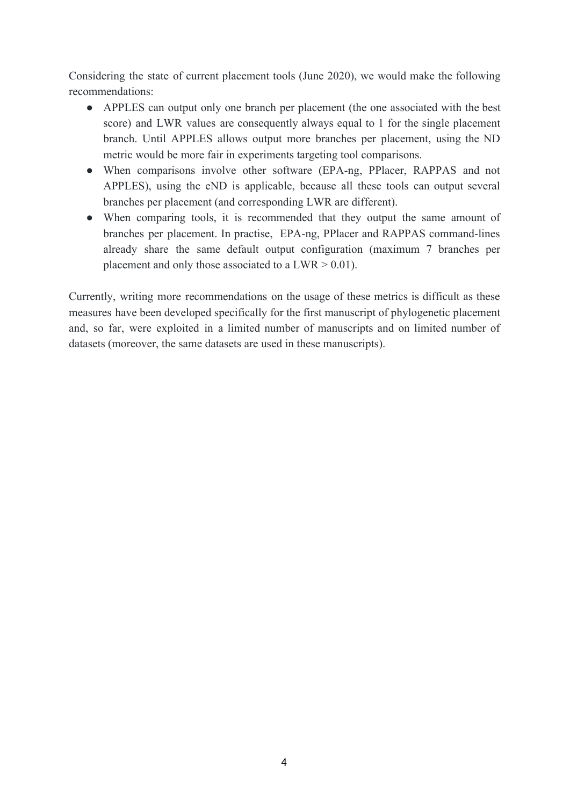Considering the state of current placement tools (June 2020), we would make the following recommendations:

- APPLES can output only one branch per placement (the one associated with the best score) and LWR values are consequently always equal to 1 for the single placement branch. Until APPLES allows output more branches per placement, using the ND metric would be more fair in experiments targeting tool comparisons.
- When comparisons involve other software (EPA-ng, PPlacer, RAPPAS and not APPLES), using the eND is applicable, because all these tools can output several branches per placement (and corresponding LWR are different).
- When comparing tools, it is recommended that they output the same amount of branches per placement. In practise, EPA-ng, PPlacer and RAPPAS command-lines already share the same default output configuration (maximum 7 branches per placement and only those associated to a  $LWR > 0.01$ ).

Currently, writing more recommendations on the usage of these metrics is difficult as these measures have been developed specifically for the first manuscript of phylogenetic placement and, so far, were exploited in a limited number of manuscripts and on limited number of datasets (moreover, the same datasets are used in these manuscripts).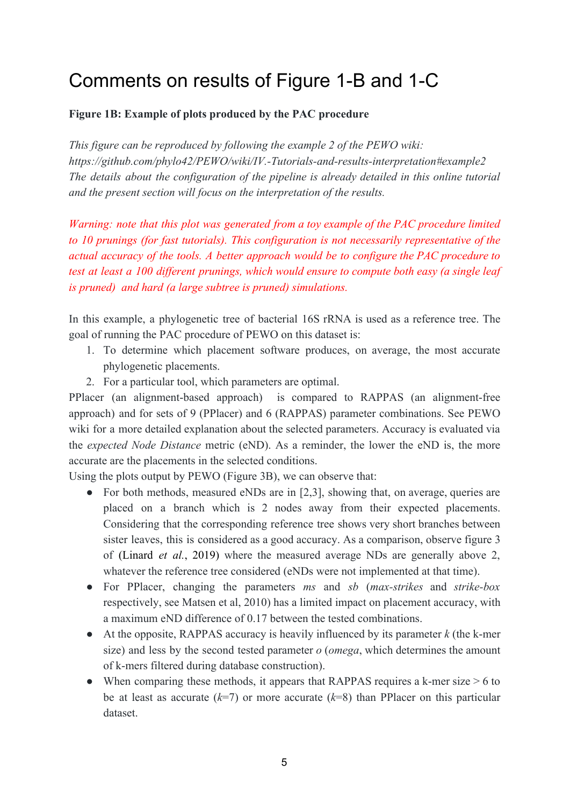# Comments on results of Figure 1-B and 1-C

### **Figure 1B: Example of plots produced by the PAC procedure**

*This figure can be reproduced by following the example 2 of the PEWO wiki: <https://github.com/phylo42/PEWO/wiki/IV.-Tutorials-and-results-interpretation#example2> The details about the configuration of the pipeline is already detailed in this online tutorial and the present section will focus on the interpretation of the results.*

*Warning: note that this plot was generated from a toy example of the PAC procedure limited to 10 prunings (for fast tutorials). This configuration is not necessarily representative of the actual accuracy of the tools. A better approach would be to configure the PAC procedure to test at least a 100 different prunings, which would ensure to compute both easy (a single leaf is pruned) and hard (a large subtree is pruned) simulations.*

In this example, a phylogenetic tree of bacterial 16S rRNA is used as a reference tree. The goal of running the PAC procedure of PEWO on this dataset is:

- 1. To determine which placement software produces, on average, the most accurate phylogenetic placements.
- 2. For a particular tool, which parameters are optimal.

PPlacer (an alignment-based approach) is compared to RAPPAS (an alignment-free approach) and for sets of 9 (PPlacer) and 6 (RAPPAS) parameter combinations. See PEWO wiki for a more detailed explanation about the selected parameters. Accuracy is evaluated via the *expected Node Distance* metric (eND). As a reminder, the lower the eND is, the more accurate are the placements in the selected conditions.

Using the plots output by PEWO (Figure 3B), we can observe that:

- For both methods, measured eNDs are in [2,3], showing that, on average, queries are placed on a branch which is 2 nodes away from their expected placements. Considering that the corresponding reference tree shows very short branches between sister leaves, this is considered as a good accuracy. As a comparison, observe figure 3 of [\(Linard](https://paperpile.com/c/G6pr4Z/g6dB) *et [al.](https://paperpile.com/c/G6pr4Z/g6dB)*, [2019\)](https://paperpile.com/c/G6pr4Z/g6dB) where the measured average NDs are generally above 2, whatever the reference tree considered (eNDs were not implemented at that time).
- <span id="page-8-0"></span>● For PPlacer, changing the parameters *ms* and *sb* (*max-strikes* and *strike-box* respectively, see Matsen et al, 2010) has a limited impact on placement accuracy, with a maximum eND difference of 0.17 between the tested combinations.
- At the opposite, RAPPAS accuracy is heavily influenced by its parameter *k* (the k-mer size) and less by the second tested parameter *o* (*omega*, which determines the amount of k-mers filtered during database construction).
- When comparing these methods, it appears that RAPPAS requires a k-mer size  $> 6$  to be at least as accurate  $(k=7)$  or more accurate  $(k=8)$  than PPlacer on this particular dataset.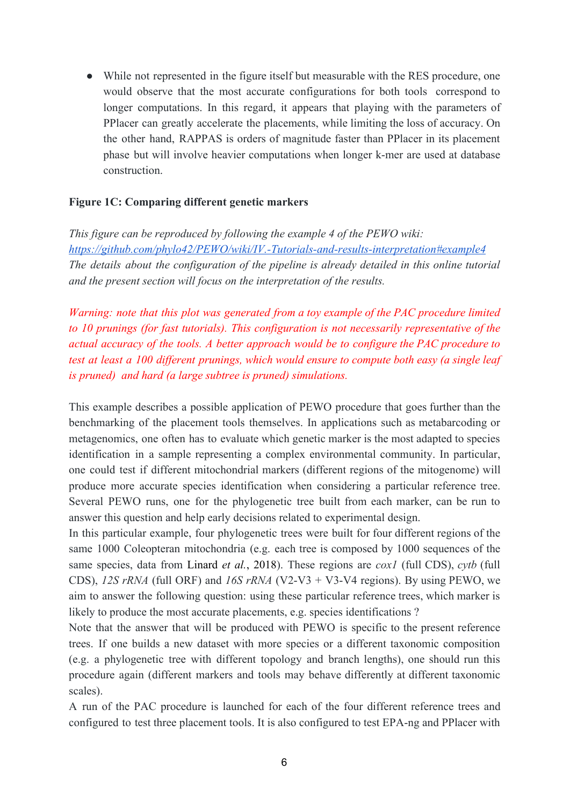• While not represented in the figure itself but measurable with the RES procedure, one would observe that the most accurate configurations for both tools correspond to longer computations. In this regard, it appears that playing with the parameters of PPlacer can greatly accelerate the placements, while limiting the loss of accuracy. On the other hand, RAPPAS is orders of magnitude faster than PPlacer in its placement phase but will involve heavier computations when longer k-mer are used at database construction.

### **Figure 1C: Comparing different genetic markers**

*This figure can be reproduced by following the example 4 of the PEWO wiki: <https://github.com/phylo42/PEWO/wiki/IV.-Tutorials-and-results-interpretation#example4> The details about the configuration of the pipeline is already detailed in this online tutorial and the present section will focus on the interpretation of the results.*

*Warning: note that this plot was generated from a toy example of the PAC procedure limited to 10 prunings (for fast tutorials). This configuration is not necessarily representative of the actual accuracy of the tools. A better approach would be to configure the PAC procedure to test at least a 100 different prunings, which would ensure to compute both easy (a single leaf is pruned) and hard (a large subtree is pruned) simulations.*

This example describes a possible application of PEWO procedure that goes further than the benchmarking of the placement tools themselves. In applications such as metabarcoding or metagenomics, one often has to evaluate which genetic marker is the most adapted to species identification in a sample representing a complex environmental community. In particular, one could test if different mitochondrial markers (different regions of the mitogenome) will produce more accurate species identification when considering a particular reference tree. Several PEWO runs, one for the phylogenetic tree built from each marker, can be run to answer this question and help early decisions related to experimental design.

In this particular example, four phylogenetic trees were built for four different regions of the same 1000 Coleopteran mitochondria (e.g. each tree is composed by 1000 sequences of the same species, data from [Linard](https://paperpile.com/c/G6pr4Z/kvQ8) *et [al.](https://paperpile.com/c/G6pr4Z/kvQ8)*, [2018](https://paperpile.com/c/G6pr4Z/kvQ8)). These regions are *cox1* (full CDS), *cytb* (full CDS), *12S rRNA* (full ORF) and *16S rRNA* (V2-V3 + V3-V4 regions). By using PEWO, we aim to answer the following question: using these particular reference trees, which marker is likely to produce the most accurate placements, e.g. species identifications ?

Note that the answer that will be produced with PEWO is specific to the present reference trees. If one builds a new dataset with more species or a different taxonomic composition (e.g. a phylogenetic tree with different topology and branch lengths), one should run this procedure again (different markers and tools may behave differently at different taxonomic scales).

A run of the PAC procedure is launched for each of the four different reference trees and configured to test three placement tools. It is also configured to test EPA-ng and PPlacer with